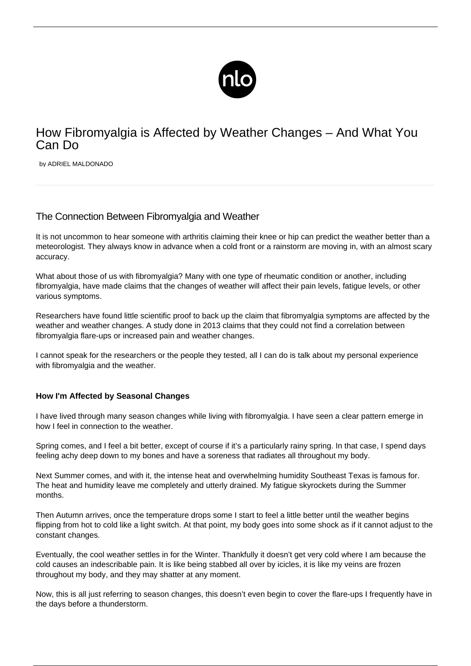

# How Fibromyalgia is Affected by Weather Changes – And What You Can Do

by ADRIEL MALDONADO

## The Connection Between Fibromyalgia and Weather

It is not uncommon to hear someone with arthritis claiming their knee or hip can predict the weather better than a meteorologist. They always know in advance when a cold front or a rainstorm are moving in, with an almost scary accuracy.

What about those of us with fibromyalgia? Many with one type of rheumatic condition or another, including fibromyalgia, have made claims that the changes of weather will affect their pain levels, fatigue levels, or other various symptoms.

Researchers have found little scientific proof to back up the claim that [fibromyalgia symptoms](/symptoms-of-fibromyalgia/) are affected by the weather and weather changes. A study done in 2013 claims that they could not find a correlation between [fibromyalgia flare-ups](/flare-up/) or increased pain and weather changes.

I cannot speak for the researchers or the people they tested, all I can do is talk about my personal experience with fibromyalgia and the weather.

#### **How I'm Affected by Seasonal Changes**

I have lived through many season changes while [living with fibromyalgia.](/great-hobbies-fms/) I have seen a clear pattern emerge in how I feel in connection to the weather.

Spring comes, and I feel a bit better, except of course if it's a particularly rainy spring. In that case, I spend days feeling achy deep down to my bones and have a soreness that radiates all throughout my body.

Next Summer comes, and with it, the intense heat and overwhelming humidity Southeast Texas is famous for. The heat and humidity leave me completely and utterly drained. My fatigue skyrockets during the Summer months.

Then Autumn arrives, once the temperature drops some I start to feel a little better until the weather begins flipping from hot to cold like a light switch. At that point, my body goes into some shock as if it cannot adjust to the constant changes.

Eventually, the cool weather settles in for the Winter. Thankfully it doesn't get very cold where I am because the cold causes an indescribable pain. It is like being stabbed all over by icicles, it is like my veins are frozen throughout my body, and they may shatter at any moment.

Now, this is all just referring to season changes, this doesn't even begin to cover the flare-ups I frequently have in the days before a thunderstorm.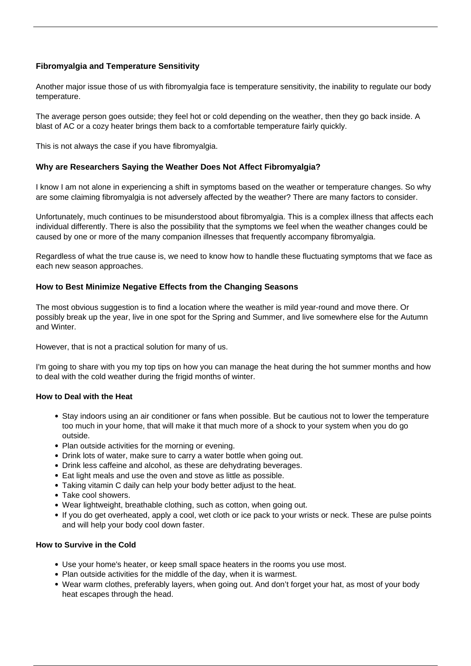### **Fibromyalgia and Temperature Sensitivity**

Another major issue those of us with fibromyalgia face is temperature sensitivity, the inability to regulate our body temperature.

The average person goes outside; they feel hot or cold depending on the weather, then they go back inside. A blast of AC or a cozy heater brings them back to a comfortable temperature fairly quickly.

This is not always the case if you have fibromyalgia.

#### **Why are Researchers Saying the Weather Does Not Affect Fibromyalgia?**

I know I am not alone in experiencing a shift in symptoms based on the weather or temperature changes. So why are some claiming fibromyalgia is not adversely affected by the weather? There are many factors to consider.

Unfortunately, much continues to be [misunderstood about fibromyalgia](/found-cause-fibromyalgia/). This is a complex illness that affects each individual differently. There is also the possibility that the symptoms we feel when the weather changes could be caused by one or more of the many companion illnesses that frequently accompany fibromyalgia.

Regardless of what the true cause is, we need to know how to handle these fluctuating symptoms that we face as each new season approaches.

#### **How to Best Minimize Negative Effects from the Changing Seasons**

The most obvious suggestion is to find a location where the weather is mild year-round and move there. Or possibly break up the year, live in one spot for the Spring and Summer, and live somewhere else for the Autumn and Winter.

However, that is not a practical solution for many of us.

I'm going to share with you my top tips on how you can manage the heat during the hot summer months and how to deal with the [cold weather](/fibromyalgia-and-cold/) during the frigid months of winter.

#### **How to Deal with the Heat**

- Stay indoors using an air conditioner or fans when possible. But be cautious not to lower the temperature too much in your home, that will make it that much more of a shock to your system when you do go outside.
- Plan outside activities for the morning or evening.
- Drink lots of water, make sure to carry a water bottle when going out.
- Drink less caffeine and alcohol, as these are dehydrating beverages.
- Eat light meals and use the oven and stove as little as possible.
- Taking vitamin C daily can help your body better adjust to the heat.
- Take cool showers.
- Wear lightweight, breathable clothing, such as cotton, when going out.
- If you do get overheated, apply a cool, wet cloth or ice pack to your wrists or neck. These are pulse points and will help your body cool down faster.

#### **How to Survive in the Cold**

- Use your home's heater, or keep small space heaters in the rooms you use most.
- Plan outside activities for the middle of the day, when it is warmest.
- Wear warm clothes, preferably layers, when going out. And don't forget your hat, as most of your body heat escapes through the head.